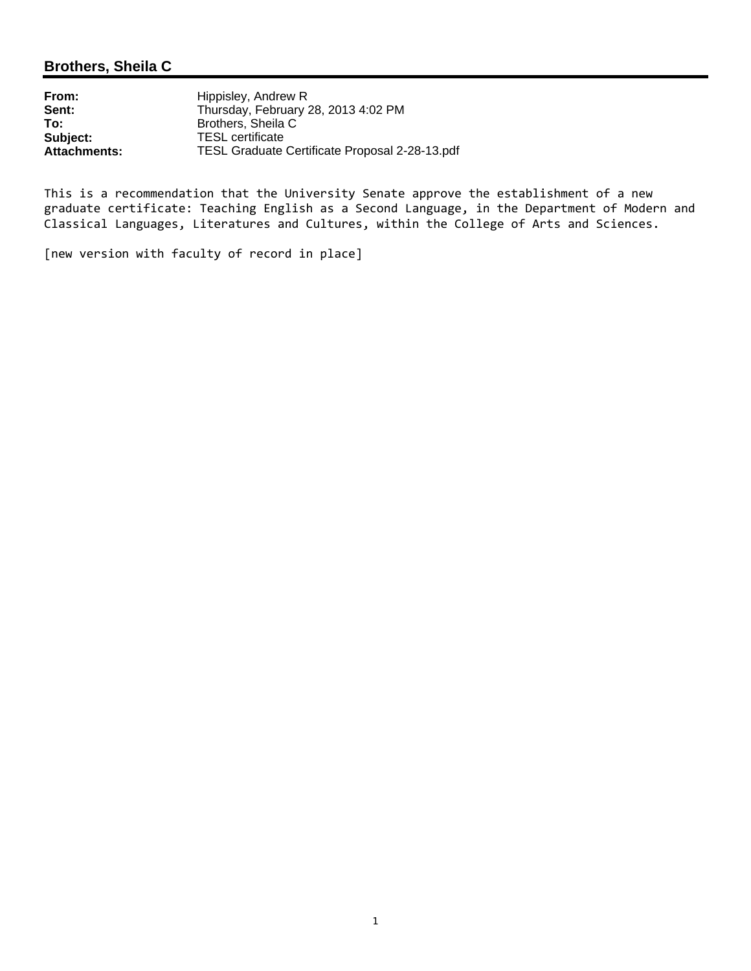### **Brothers, Sheila C**

**From:** Hippisley, Andrew R<br> **Sent:** Thursday. February 2 **Sent:** Thursday, February 28, 2013 4:02 PM<br> **To:** Brothers, Sheila C **To:** Brothers, Sheila C<br> **Subject:** TESL certificate **Subject:** TESL certificate<br> **Attachments:** TESL Graduate **Attachments:** TESL Graduate Certificate Proposal 2-28-13.pdf

This is a recommendation that the University Senate approve the establishment of a new graduate certificate: Teaching English as a Second Language, in the Department of Modern and Classical Languages, Literatures and Cultures, within the College of Arts and Sciences.

[new version with faculty of record in place]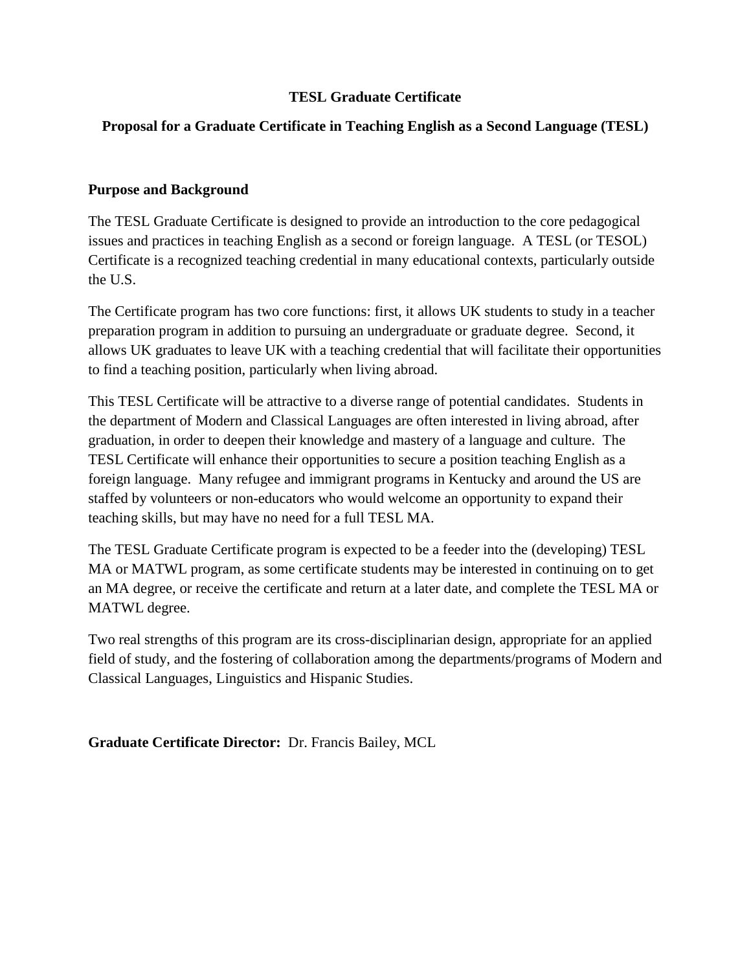## **TESL Graduate Certificate**

## **Proposal for a Graduate Certificate in Teaching English as a Second Language (TESL)**

#### **Purpose and Background**

The TESL Graduate Certificate is designed to provide an introduction to the core pedagogical issues and practices in teaching English as a second or foreign language. A TESL (or TESOL) Certificate is a recognized teaching credential in many educational contexts, particularly outside the U.S.

The Certificate program has two core functions: first, it allows UK students to study in a teacher preparation program in addition to pursuing an undergraduate or graduate degree. Second, it allows UK graduates to leave UK with a teaching credential that will facilitate their opportunities to find a teaching position, particularly when living abroad.

This TESL Certificate will be attractive to a diverse range of potential candidates. Students in the department of Modern and Classical Languages are often interested in living abroad, after graduation, in order to deepen their knowledge and mastery of a language and culture. The TESL Certificate will enhance their opportunities to secure a position teaching English as a foreign language. Many refugee and immigrant programs in Kentucky and around the US are staffed by volunteers or non-educators who would welcome an opportunity to expand their teaching skills, but may have no need for a full TESL MA.

The TESL Graduate Certificate program is expected to be a feeder into the (developing) TESL MA or MATWL program, as some certificate students may be interested in continuing on to get an MA degree, or receive the certificate and return at a later date, and complete the TESL MA or MATWL degree.

Two real strengths of this program are its cross-disciplinarian design, appropriate for an applied field of study, and the fostering of collaboration among the departments/programs of Modern and Classical Languages, Linguistics and Hispanic Studies.

**Graduate Certificate Director:** Dr. Francis Bailey, MCL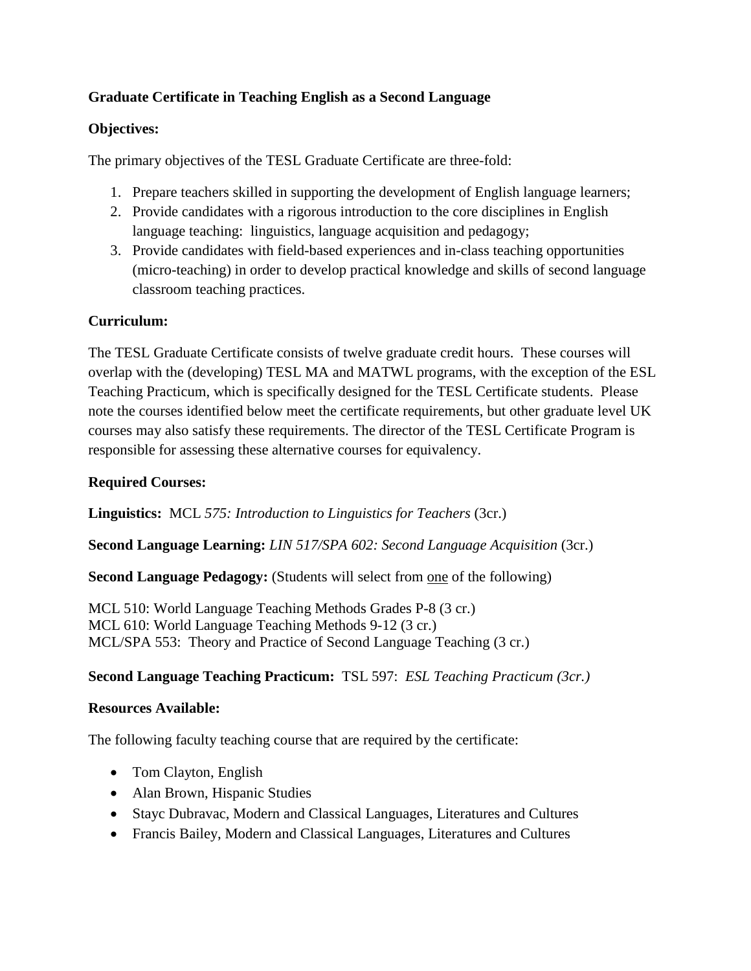# **Graduate Certificate in Teaching English as a Second Language**

## **Objectives:**

The primary objectives of the TESL Graduate Certificate are three-fold:

- 1. Prepare teachers skilled in supporting the development of English language learners;
- 2. Provide candidates with a rigorous introduction to the core disciplines in English language teaching: linguistics, language acquisition and pedagogy;
- 3. Provide candidates with field-based experiences and in-class teaching opportunities (micro-teaching) in order to develop practical knowledge and skills of second language classroom teaching practices.

## **Curriculum:**

The TESL Graduate Certificate consists of twelve graduate credit hours. These courses will overlap with the (developing) TESL MA and MATWL programs, with the exception of the ESL Teaching Practicum, which is specifically designed for the TESL Certificate students. Please note the courses identified below meet the certificate requirements, but other graduate level UK courses may also satisfy these requirements. The director of the TESL Certificate Program is responsible for assessing these alternative courses for equivalency.

## **Required Courses:**

**Linguistics:** MCL *575: Introduction to Linguistics for Teachers* (3cr.)

**Second Language Learning:** *LIN 517/SPA 602: Second Language Acquisition* (3cr.)

**Second Language Pedagogy:** (Students will select from one of the following)

MCL 510: World Language Teaching Methods Grades P-8 (3 cr.) MCL 610: World Language Teaching Methods 9-12 (3 cr.) MCL/SPA 553: Theory and Practice of Second Language Teaching (3 cr.)

### **Second Language Teaching Practicum:** TSL 597:*ESL Teaching Practicum (3cr.)*

### **Resources Available:**

The following faculty teaching course that are required by the certificate:

- Tom Clayton, English
- Alan Brown, Hispanic Studies
- Stayc Dubravac, Modern and Classical Languages, Literatures and Cultures
- Francis Bailey, Modern and Classical Languages, Literatures and Cultures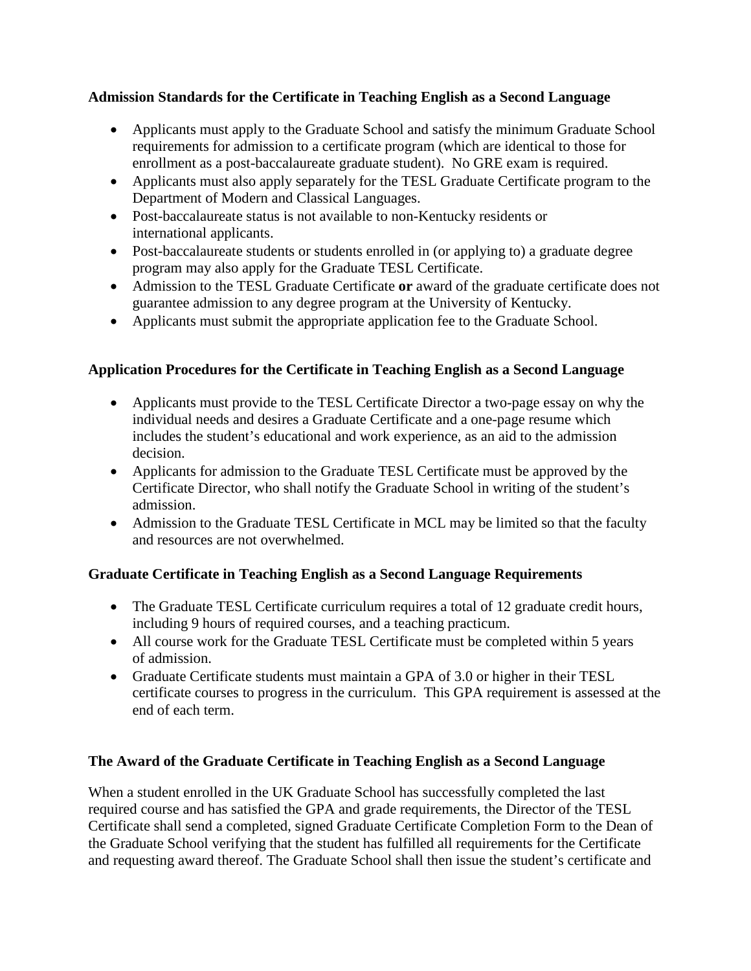## **Admission Standards for the Certificate in Teaching English as a Second Language**

- Applicants must apply to the Graduate School and satisfy the minimum Graduate School requirements for admission to a certificate program (which are identical to those for enrollment as a post-baccalaureate graduate student). No GRE exam is required.
- Applicants must also apply separately for the TESL Graduate Certificate program to the Department of Modern and Classical Languages.
- Post-baccalaureate status is not available to non-Kentucky residents or international applicants.
- Post-baccalaureate students or students enrolled in (or applying to) a graduate degree program may also apply for the Graduate TESL Certificate.
- Admission to the TESL Graduate Certificate **or** award of the graduate certificate does not guarantee admission to any degree program at the University of Kentucky.
- Applicants must submit the appropriate application fee to the Graduate School.

# **Application Procedures for the Certificate in Teaching English as a Second Language**

- Applicants must provide to the TESL Certificate Director a two-page essay on why the individual needs and desires a Graduate Certificate and a one-page resume which includes the student's educational and work experience, as an aid to the admission decision.
- Applicants for admission to the Graduate TESL Certificate must be approved by the Certificate Director, who shall notify the Graduate School in writing of the student's admission.
- Admission to the Graduate TESL Certificate in MCL may be limited so that the faculty and resources are not overwhelmed.

# **Graduate Certificate in Teaching English as a Second Language Requirements**

- The Graduate TESL Certificate curriculum requires a total of 12 graduate credit hours, including 9 hours of required courses, and a teaching practicum.
- All course work for the Graduate TESL Certificate must be completed within 5 years of admission.
- Graduate Certificate students must maintain a GPA of 3.0 or higher in their TESL certificate courses to progress in the curriculum. This GPA requirement is assessed at the end of each term.

# **The Award of the Graduate Certificate in Teaching English as a Second Language**

When a student enrolled in the UK Graduate School has successfully completed the last required course and has satisfied the GPA and grade requirements, the Director of the TESL Certificate shall send a completed, signed Graduate Certificate Completion Form to the Dean of the Graduate School verifying that the student has fulfilled all requirements for the Certificate and requesting award thereof. The Graduate School shall then issue the student's certificate and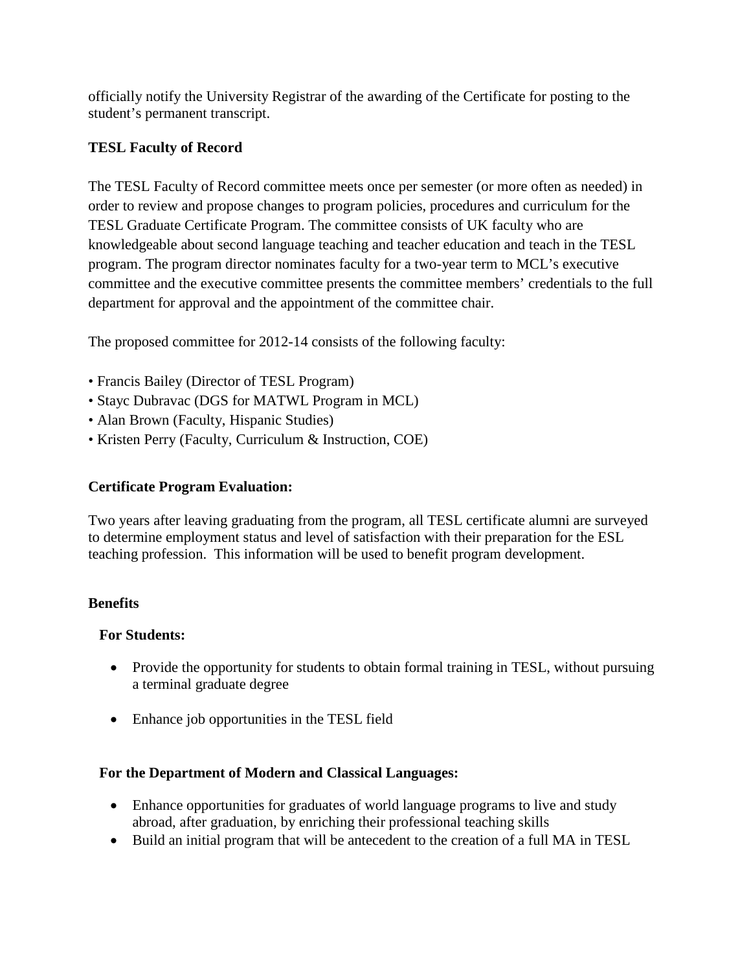officially notify the University Registrar of the awarding of the Certificate for posting to the student's permanent transcript.

## **TESL Faculty of Record**

The TESL Faculty of Record committee meets once per semester (or more often as needed) in order to review and propose changes to program policies, procedures and curriculum for the TESL Graduate Certificate Program. The committee consists of UK faculty who are knowledgeable about second language teaching and teacher education and teach in the TESL program. The program director nominates faculty for a two-year term to MCL's executive committee and the executive committee presents the committee members' credentials to the full department for approval and the appointment of the committee chair.

The proposed committee for 2012-14 consists of the following faculty:

- Francis Bailey (Director of TESL Program)
- Stayc Dubravac (DGS for MATWL Program in MCL)
- Alan Brown (Faculty, Hispanic Studies)
- Kristen Perry (Faculty, Curriculum & Instruction, COE)

### **Certificate Program Evaluation:**

Two years after leaving graduating from the program, all TESL certificate alumni are surveyed to determine employment status and level of satisfaction with their preparation for the ESL teaching profession. This information will be used to benefit program development.

### **Benefits**

### **For Students:**

- Provide the opportunity for students to obtain formal training in TESL, without pursuing a terminal graduate degree
- Enhance job opportunities in the TESL field

### **For the Department of Modern and Classical Languages:**

- Enhance opportunities for graduates of world language programs to live and study abroad, after graduation, by enriching their professional teaching skills
- Build an initial program that will be antecedent to the creation of a full MA in TESL